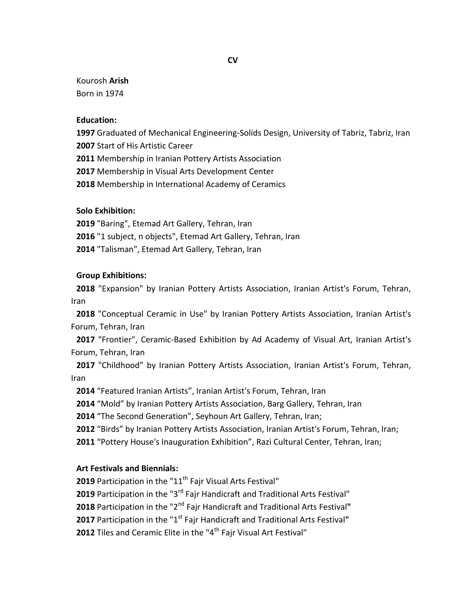### Kourosh **Arish** Born in 1974

#### **Education:**

 Graduated of Mechanical Engineering-Solids Design, University of Tabriz, Tabriz, Iran Start of His Artistic Career

Membership in Iranian Pottery Artists Association

Membership in Visual Arts Development Center

Membership in International Academy of Ceramics

# **Solo Exhibition:**

 "Baring", Etemad Art Gallery, Tehran, Iran "1 subject, n objects", Etemad Art Gallery, Tehran, Iran "Talisman", Etemad Art Gallery, Tehran, Iran

### **Group Exhibitions:**

 "Expansion" by Iranian Pottery Artists Association, Iranian Artist's Forum, Tehran, Iran

 "Conceptual Ceramic in Use" by Iranian Pottery Artists Association, Iranian Artist's Forum, Tehran, Iran

 "Frontier", Ceramic-Based Exhibition by Ad Academy of Visual Art, Iranian Artist's Forum, Tehran, Iran

 "Childhood" by Iranian Pottery Artists Association, Iranian Artist's Forum, Tehran, Iran

"Featured Iranian Artists", Iranian Artist's Forum, Tehran, Iran

"Mold" by Iranian Pottery Artists Association, Barg Gallery, Tehran, Iran

"The Second Generation", Seyhoun Art Gallery, Tehran, Iran;

"Birds" by Iranian Pottery Artists Association, Iranian Artist's Forum, Tehran, Iran;

"Pottery House's Inauguration Exhibition", Razi Cultural Center, Tehran, Iran;

# **Art Festivals and Biennials:**

**2019** Participation in the "11<sup>th</sup> Fajr Visual Arts Festival"

Participation in the "3<sup>rd</sup> Fajr Handicraft and Traditional Arts Festival"

Participation in the "2<sup>nd</sup> Fajr Handicraft and Traditional Arts Festival"

Participation in the "1<sup>st</sup> Fajr Handicraft and Traditional Arts Festival"

**2012** Tiles and Ceramic Elite in the "4<sup>th</sup> Fair Visual Art Festival"